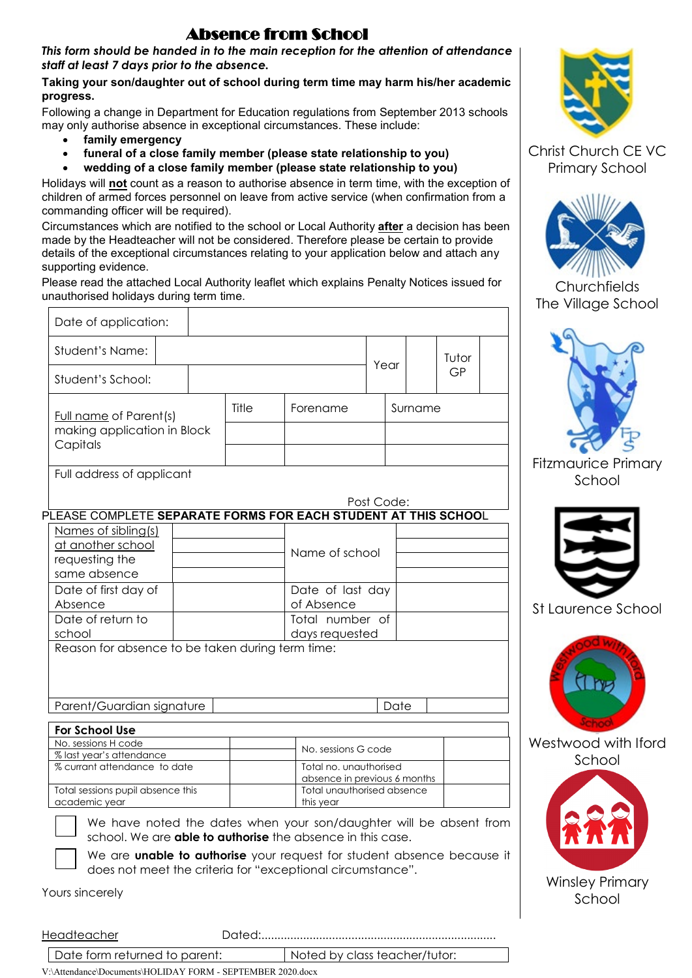### Absence from School

*This form should be handed in to the main reception for the attention of attendance staff at least 7 days prior to the absence.*

#### **Taking your son/daughter out of school during term time may harm his/her academic progress.**

Following a change in Department for Education regulations from September 2013 schools may only authorise absence in exceptional circumstances. These include:

- **family emergency**
- **funeral of a close family member (please state relationship to you)**
- **wedding of a close family member (please state relationship to you)**

Holidays will **not** count as a reason to authorise absence in term time, with the exception of children of armed forces personnel on leave from active service (when confirmation from a commanding officer will be required).

Circumstances which are notified to the school or Local Authority **after** a decision has been made by the Headteacher will not be considered. Therefore please be certain to provide details of the exceptional circumstances relating to your application below and attach any supporting evidence.

Please read the attached Local Authority leaflet which explains Penalty Notices issued for unauthorised holidays during term time.

| Date of application:                                                                                                                    |  |       |                                                        |  |         |  |       |  |  |  |
|-----------------------------------------------------------------------------------------------------------------------------------------|--|-------|--------------------------------------------------------|--|---------|--|-------|--|--|--|
| Student's Name:                                                                                                                         |  |       |                                                        |  | Year    |  | Tutor |  |  |  |
| Student's School:                                                                                                                       |  |       |                                                        |  |         |  | GP    |  |  |  |
| <b>Full name</b> of Parent(s)<br>making application in Block<br>Capitals                                                                |  | Title | Forename                                               |  | Surname |  |       |  |  |  |
|                                                                                                                                         |  |       |                                                        |  |         |  |       |  |  |  |
| Full address of applicant                                                                                                               |  |       |                                                        |  |         |  |       |  |  |  |
| Post Code:                                                                                                                              |  |       |                                                        |  |         |  |       |  |  |  |
| PLEASE COMPLETE SEPARATE FORMS FOR EACH STUDENT AT THIS SCHOOL                                                                          |  |       |                                                        |  |         |  |       |  |  |  |
| Names of sibling(s)                                                                                                                     |  |       |                                                        |  |         |  |       |  |  |  |
| at another school                                                                                                                       |  |       |                                                        |  |         |  |       |  |  |  |
| requesting the                                                                                                                          |  |       | Name of school                                         |  |         |  |       |  |  |  |
| same absence                                                                                                                            |  |       |                                                        |  |         |  |       |  |  |  |
| Date of first day of                                                                                                                    |  |       | Date of last day                                       |  |         |  |       |  |  |  |
| Absence                                                                                                                                 |  |       | of Absence                                             |  |         |  |       |  |  |  |
| Date of return to                                                                                                                       |  |       | Total number of                                        |  |         |  |       |  |  |  |
| school                                                                                                                                  |  |       | days requested                                         |  |         |  |       |  |  |  |
| Reason for absence to be taken during term time:                                                                                        |  |       |                                                        |  |         |  |       |  |  |  |
|                                                                                                                                         |  |       |                                                        |  |         |  |       |  |  |  |
| Parent/Guardian signature                                                                                                               |  |       | Date                                                   |  |         |  |       |  |  |  |
| For School Use                                                                                                                          |  |       |                                                        |  |         |  |       |  |  |  |
| No. sessions H code                                                                                                                     |  |       | No. sessions G code                                    |  |         |  |       |  |  |  |
| % last year's attendance<br>% currant attendance to date                                                                                |  |       |                                                        |  |         |  |       |  |  |  |
|                                                                                                                                         |  |       | Total no. unauthorised<br>absence in previous 6 months |  |         |  |       |  |  |  |
| Total sessions pupil absence this                                                                                                       |  |       | Total unauthorised absence                             |  |         |  |       |  |  |  |
| academic year                                                                                                                           |  |       | this year                                              |  |         |  |       |  |  |  |
| We have noted the dates when your son/daughter will be absent from<br>school. We are <b>able to authorise</b> the absence in this case. |  |       |                                                        |  |         |  |       |  |  |  |

We are **unable to authorise** your request for student absence because it does not meet the criteria for "exceptional circumstance".

Yours sincerely

Headteacher Dated:......................................................................... Date form returned to parent: Noted by class teacher/tutor:





Christ Church CE VC Primary School



**Churchfields** The Village School



Fitzmaurice Primary School



St Laurence School



Westwood with Iford School



Winsley Primary School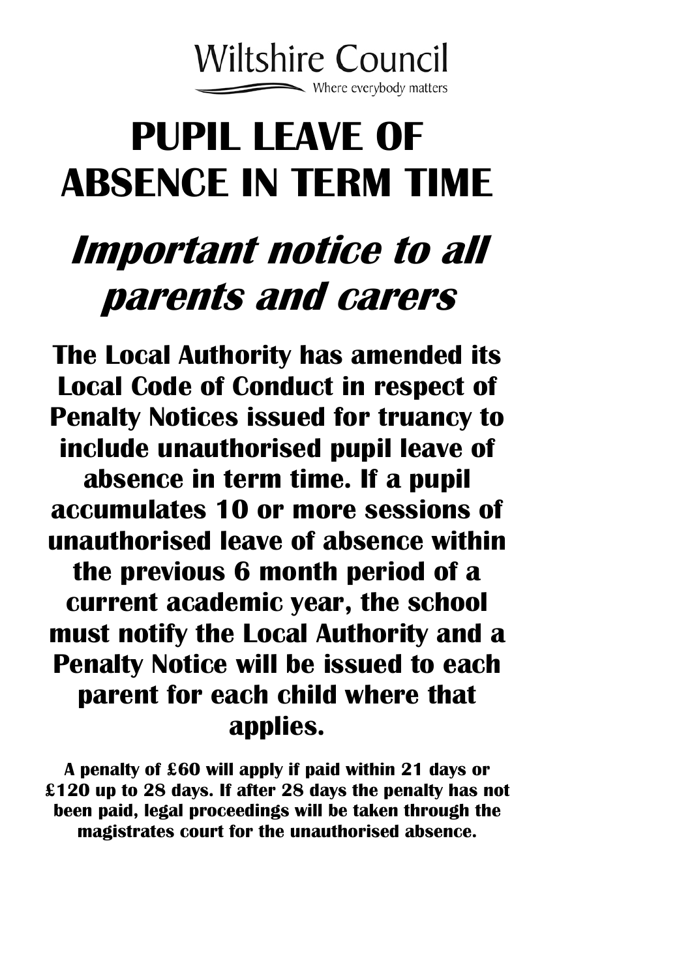

# **PUPIL LEAVE OF ABSENCE IN TERM TIME**

## **Important notice to all parents and carers**

**The Local Authority has amended its Local Code of Conduct in respect of Penalty Notices issued for truancy to include unauthorised pupil leave of absence in term time. If a pupil accumulates 10 or more sessions of unauthorised leave of absence within the previous 6 month period of a current academic year, the school must notify the Local Authority and a Penalty Notice will be issued to each parent for each child where that applies.** 

**A penalty of £60 will apply if paid within 21 days or £120 up to 28 days. If after 28 days the penalty has not been paid, legal proceedings will be taken through the magistrates court for the unauthorised absence.**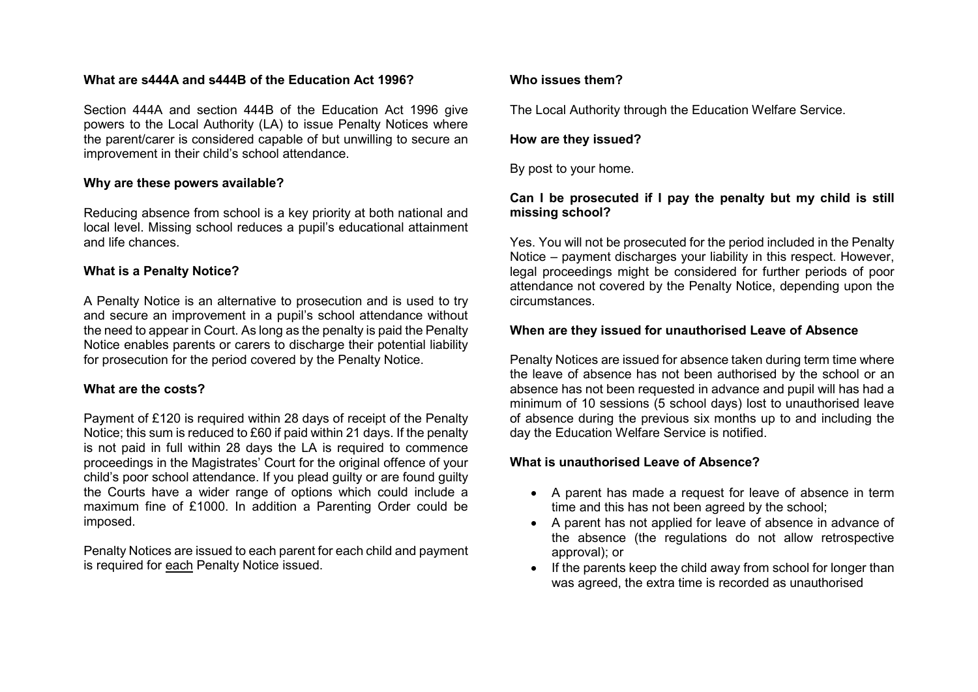#### **What are s444A and s444B of the Education Act 1996?**

Section 444A and section 444B of the Education Act 1996 give powers to the Local Authority (LA) to issue Penalty Notices where the parent/carer is considered capable of but unwilling to secure an improvement in their child's school attendance.

#### **Why are these powers available?**

Reducing absence from school is a key priority at both national and local level. Missing school reduces a pupil's educational attainment and life chances.

#### **What is a Penalty Notice?**

A Penalty Notice is an alternative to prosecution and is used to try and secure an improvement in a pupil's school attendance without the need to appear in Court. As long as the penalty is paid the Penalty Notice enables parents or carers to discharge their potential liability for prosecution for the period covered by the Penalty Notice.

#### **What are the costs?**

Payment of £120 is required within 28 days of receipt of the Penalty Notice; this sum is reduced to £60 if paid within 21 days. If the penalty is not paid in full within 28 days the LA is required to commence proceedings in the Magistrates' Court for the original offence of your child's poor school attendance. If you plead guilty or are found guilty the Courts have a wider range of options which could include a maximum fine of £1000. In addition a Parenting Order could be imposed.

Penalty Notices are issued to each parent for each child and payment is required for each Penalty Notice issued.

#### **Who issues them?**

The Local Authority through the Education Welfare Service.

#### **How are they issued?**

By post to your home.

#### **Can I be prosecuted if I pay the penalty but my child is still missing school?**

Yes. You will not be prosecuted for the period included in the Penalty Notice – payment discharges your liability in this respect. However, legal proceedings might be considered for further periods of poor attendance not covered by the Penalty Notice, depending upon the circumstances.

#### **When are they issued for unauthorised Leave of Absence**

Penalty Notices are issued for absence taken during term time where the leave of absence has not been authorised by the school or an absence has not been requested in advance and pupil will has had a minimum of 10 sessions (5 school days) lost to unauthorised leave of absence during the previous six months up to and including the day the Education Welfare Service is notified.

#### **What is unauthorised Leave of Absence?**

- A parent has made a request for leave of absence in term time and this has not been agreed by the school;
- A parent has not applied for leave of absence in advance of the absence (the regulations do not allow retrospective approval); or
- If the parents keep the child away from school for longer than was agreed, the extra time is recorded as unauthorised